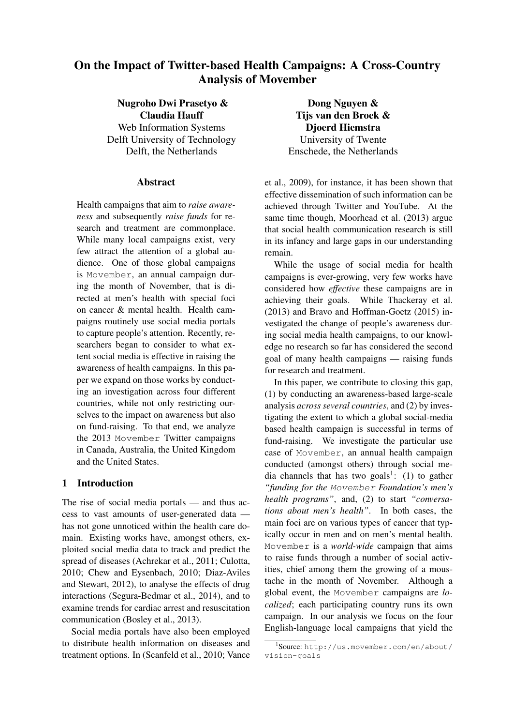# On the Impact of Twitter-based Health Campaigns: A Cross-Country Analysis of Movember

Nugroho Dwi Prasetyo & Claudia Hauff Web Information Systems Delft University of Technology Delft, the Netherlands

## **Abstract**

Health campaigns that aim to *raise awareness* and subsequently *raise funds* for research and treatment are commonplace. While many local campaigns exist, very few attract the attention of a global audience. One of those global campaigns is Movember, an annual campaign during the month of November, that is directed at men's health with special foci on cancer & mental health. Health campaigns routinely use social media portals to capture people's attention. Recently, researchers began to consider to what extent social media is effective in raising the awareness of health campaigns. In this paper we expand on those works by conducting an investigation across four different countries, while not only restricting ourselves to the impact on awareness but also on fund-raising. To that end, we analyze the 2013 Movember Twitter campaigns in Canada, Australia, the United Kingdom and the United States.

# 1 Introduction

The rise of social media portals — and thus access to vast amounts of user-generated data has not gone unnoticed within the health care domain. Existing works have, amongst others, exploited social media data to track and predict the spread of diseases (Achrekar et al., 2011; Culotta, 2010; Chew and Eysenbach, 2010; Diaz-Aviles and Stewart, 2012), to analyse the effects of drug interactions (Segura-Bedmar et al., 2014), and to examine trends for cardiac arrest and resuscitation communication (Bosley et al., 2013).

Social media portals have also been employed to distribute health information on diseases and treatment options. In (Scanfeld et al., 2010; Vance

Dong Nguyen & Tijs van den Broek & Djoerd Hiemstra University of Twente Enschede, the Netherlands

et al., 2009), for instance, it has been shown that effective dissemination of such information can be achieved through Twitter and YouTube. At the same time though, Moorhead et al. (2013) argue that social health communication research is still in its infancy and large gaps in our understanding remain.

While the usage of social media for health campaigns is ever-growing, very few works have considered how *effective* these campaigns are in achieving their goals. While Thackeray et al. (2013) and Bravo and Hoffman-Goetz (2015) investigated the change of people's awareness during social media health campaigns, to our knowledge no research so far has considered the second goal of many health campaigns — raising funds for research and treatment.

In this paper, we contribute to closing this gap, (1) by conducting an awareness-based large-scale analysis *across several countries*, and (2) by investigating the extent to which a global social-media based health campaign is successful in terms of fund-raising. We investigate the particular use case of Movember, an annual health campaign conducted (amongst others) through social media channels that has two goals<sup>1</sup>: (1) to gather *"funding for the* Movember *Foundation's men's health programs"*, and, (2) to start *"conversations about men's health"*. In both cases, the main foci are on various types of cancer that typically occur in men and on men's mental health. Movember is a *world-wide* campaign that aims to raise funds through a number of social activities, chief among them the growing of a moustache in the month of November. Although a global event, the Movember campaigns are *localized*; each participating country runs its own campaign. In our analysis we focus on the four English-language local campaigns that yield the

<sup>1</sup> Source: http://us.movember.com/en/about/ vision-goals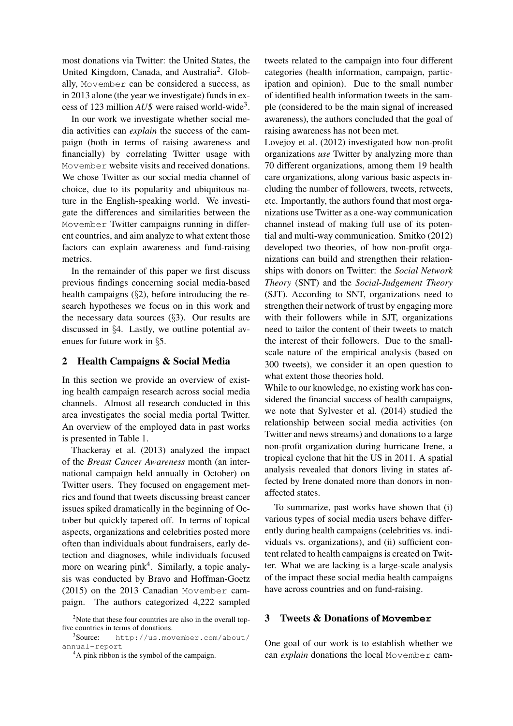most donations via Twitter: the United States, the United Kingdom, Canada, and Australia<sup>2</sup>. Globally, Movember can be considered a success, as in 2013 alone (the year we investigate) funds in excess of 123 million *AU*\$ were raised world-wide<sup>3</sup> .

In our work we investigate whether social media activities can *explain* the success of the campaign (both in terms of raising awareness and financially) by correlating Twitter usage with Movember website visits and received donations. We chose Twitter as our social media channel of choice, due to its popularity and ubiquitous nature in the English-speaking world. We investigate the differences and similarities between the Movember Twitter campaigns running in different countries, and aim analyze to what extent those factors can explain awareness and fund-raising metrics.

In the remainder of this paper we first discuss previous findings concerning social media-based health campaigns (§2), before introducing the research hypotheses we focus on in this work and the necessary data sources (§3). Our results are discussed in §4. Lastly, we outline potential avenues for future work in §5.

# 2 Health Campaigns & Social Media

In this section we provide an overview of existing health campaign research across social media channels. Almost all research conducted in this area investigates the social media portal Twitter. An overview of the employed data in past works is presented in Table 1.

Thackeray et al. (2013) analyzed the impact of the *Breast Cancer Awareness* month (an international campaign held annually in October) on Twitter users. They focused on engagement metrics and found that tweets discussing breast cancer issues spiked dramatically in the beginning of October but quickly tapered off. In terms of topical aspects, organizations and celebrities posted more often than individuals about fundraisers, early detection and diagnoses, while individuals focused more on wearing  $pink<sup>4</sup>$ . Similarly, a topic analysis was conducted by Bravo and Hoffman-Goetz (2015) on the 2013 Canadian Movember campaign. The authors categorized 4,222 sampled tweets related to the campaign into four different categories (health information, campaign, participation and opinion). Due to the small number of identified health information tweets in the sample (considered to be the main signal of increased awareness), the authors concluded that the goal of raising awareness has not been met.

Lovejoy et al. (2012) investigated how non-profit organizations *use* Twitter by analyzing more than 70 different organizations, among them 19 health care organizations, along various basic aspects including the number of followers, tweets, retweets, etc. Importantly, the authors found that most organizations use Twitter as a one-way communication channel instead of making full use of its potential and multi-way communication. Smitko (2012) developed two theories, of how non-profit organizations can build and strengthen their relationships with donors on Twitter: the *Social Network Theory* (SNT) and the *Social-Judgement Theory* (SJT). According to SNT, organizations need to strengthen their network of trust by engaging more with their followers while in SJT, organizations need to tailor the content of their tweets to match the interest of their followers. Due to the smallscale nature of the empirical analysis (based on 300 tweets), we consider it an open question to what extent those theories hold.

While to our knowledge, no existing work has considered the financial success of health campaigns, we note that Sylvester et al. (2014) studied the relationship between social media activities (on Twitter and news streams) and donations to a large non-profit organization during hurricane Irene, a tropical cyclone that hit the US in 2011. A spatial analysis revealed that donors living in states affected by Irene donated more than donors in nonaffected states.

To summarize, past works have shown that (i) various types of social media users behave differently during health campaigns (celebrities vs. individuals vs. organizations), and (ii) sufficient content related to health campaigns is created on Twitter. What we are lacking is a large-scale analysis of the impact these social media health campaigns have across countries and on fund-raising.

# 3 Tweets & Donations of **Movember**

One goal of our work is to establish whether we can *explain* donations the local Movember cam-

 $2^2$ Note that these four countries are also in the overall topfive countries in terms of donations.

 $3$ Source: http://us.movember.com/about/ annual-report

<sup>&</sup>lt;sup>4</sup>A pink ribbon is the symbol of the campaign.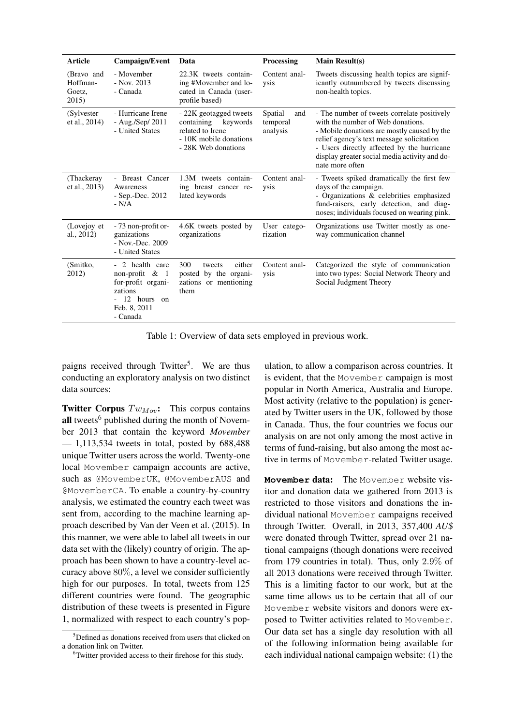| <b>Article</b>                            | Campaign/Event                                                                                                     | Data                                                                                                               | <b>Processing</b>                      | Main $Result(s)$                                                                                                                                                                                                                                                                               |
|-------------------------------------------|--------------------------------------------------------------------------------------------------------------------|--------------------------------------------------------------------------------------------------------------------|----------------------------------------|------------------------------------------------------------------------------------------------------------------------------------------------------------------------------------------------------------------------------------------------------------------------------------------------|
| (Bravo and<br>Hoffman-<br>Goetz,<br>2015) | - Movember<br>$-$ Nov. 2013<br>- Canada                                                                            | 22.3K tweets contain-<br>ing #Movember and lo-<br>cated in Canada (user-<br>profile based)                         | Content anal-<br>ysis                  | Tweets discussing health topics are signif-<br>icantly outnumbered by tweets discussing<br>non-health topics.                                                                                                                                                                                  |
| (Sylvester)<br>et al., 2014)              | - Hurricane Irene<br>- Aug./Sep/ $2011$<br>- United States                                                         | - 22K geotagged tweets<br>containing keywords<br>related to Irene<br>- 10K mobile donations<br>- 28K Web donations | Spatial<br>and<br>temporal<br>analysis | - The number of tweets correlate positively<br>with the number of Web donations.<br>- Mobile donations are mostly caused by the<br>relief agency's text message solicitation<br>- Users directly affected by the hurricane<br>display greater social media activity and do-<br>nate more often |
| (Thackeray)<br>et al., 2013)              | - Breast Cancer<br>Awareness<br>- Sep.-Dec. 2012<br>$-N/A$                                                         | 1.3M tweets contain-<br>ing breast cancer re-<br>lated keywords                                                    | Content anal-<br>ysis                  | - Tweets spiked dramatically the first few<br>days of the campaign.<br>- Organizations & celebrities emphasized<br>fund-raisers, early detection, and diag-<br>noses; individuals focused on wearing pink.                                                                                     |
| (Lovejoy et<br>al., 2012)                 | - 73 non-profit or-<br>ganizations<br>$-$ Nov.-Dec. 2009<br>- United States                                        | 4.6K tweets posted by<br>organizations                                                                             | User catego-<br>rization               | Organizations use Twitter mostly as one-<br>way communication channel                                                                                                                                                                                                                          |
| (Smitko,<br>2012)                         | - 2 health care<br>non-profit $\&$ 1<br>for-profit organi-<br>zations<br>- 12 hours on<br>Feb. 8, 2011<br>- Canada | 300<br>either<br>tweets<br>posted by the organi-<br>zations or mentioning<br>them                                  | Content anal-<br>ysis                  | Categorized the style of communication<br>into two types: Social Network Theory and<br>Social Judgment Theory                                                                                                                                                                                  |

Table 1: Overview of data sets employed in previous work.

paigns received through Twitter<sup>5</sup>. We are thus conducting an exploratory analysis on two distinct data sources:

Twitter Corpus  $Tw_{Mov}$ : This corpus contains all tweets<sup>6</sup> published during the month of November 2013 that contain the keyword *Movember*  $-1,113,534$  tweets in total, posted by 688,488 unique Twitter users across the world. Twenty-one local Movember campaign accounts are active, such as @MovemberUK, @MovemberAUS and @MovemberCA. To enable a country-by-country analysis, we estimated the country each tweet was sent from, according to the machine learning approach described by Van der Veen et al. (2015). In this manner, we were able to label all tweets in our data set with the (likely) country of origin. The approach has been shown to have a country-level accuracy above 80%, a level we consider sufficiently high for our purposes. In total, tweets from 125 different countries were found. The geographic distribution of these tweets is presented in Figure 1, normalized with respect to each country's pop-

ulation, to allow a comparison across countries. It is evident, that the Movember campaign is most popular in North America, Australia and Europe. Most activity (relative to the population) is generated by Twitter users in the UK, followed by those in Canada. Thus, the four countries we focus our analysis on are not only among the most active in terms of fund-raising, but also among the most active in terms of Movember-related Twitter usage.

**Movember** data: The Movember website visitor and donation data we gathered from 2013 is restricted to those visitors and donations the individual national Movember campaigns received through Twitter. Overall, in 2013, 357,400 *AU*\$ were donated through Twitter, spread over 21 national campaigns (though donations were received from 179 countries in total). Thus, only 2.9% of all 2013 donations were received through Twitter. This is a limiting factor to our work, but at the same time allows us to be certain that all of our Movember website visitors and donors were exposed to Twitter activities related to Movember. Our data set has a single day resolution with all of the following information being available for each individual national campaign website: (1) the

 $5$ Defined as donations received from users that clicked on a donation link on Twitter.

<sup>6</sup>Twitter provided access to their firehose for this study.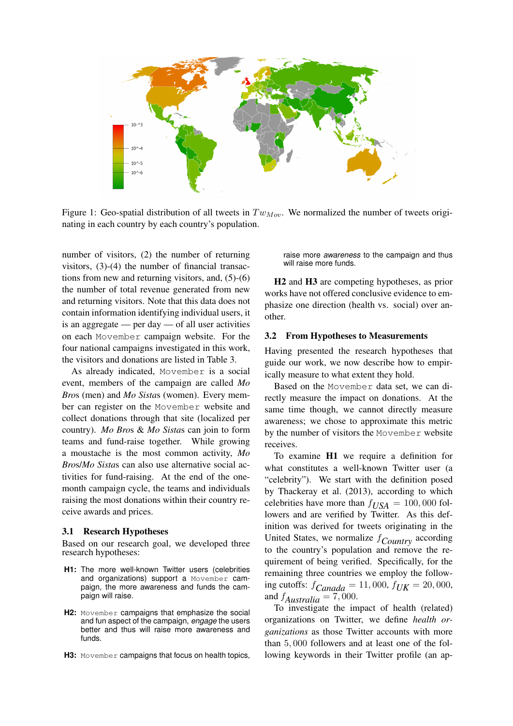

Figure 1: Geo-spatial distribution of all tweets in  $Tw_{Mov}$ . We normalized the number of tweets originating in each country by each country's population.

number of visitors, (2) the number of returning visitors, (3)-(4) the number of financial transactions from new and returning visitors, and, (5)-(6) the number of total revenue generated from new and returning visitors. Note that this data does not contain information identifying individual users, it is an aggregate — per day — of all user activities on each Movember campaign website. For the four national campaigns investigated in this work, the visitors and donations are listed in Table 3.

As already indicated, Movember is a social event, members of the campaign are called *Mo Bro*s (men) and *Mo Sista*s (women). Every member can register on the Movember website and collect donations through that site (localized per country). *Mo Bro*s & *Mo Sista*s can join to form teams and fund-raise together. While growing a moustache is the most common activity, *Mo Bro*s/*Mo Sista*s can also use alternative social activities for fund-raising. At the end of the onemonth campaign cycle, the teams and individuals raising the most donations within their country receive awards and prices.

#### 3.1 Research Hypotheses

Based on our research goal, we developed three research hypotheses:

- **H1:** The more well-known Twitter users (celebrities and organizations) support a Movember campaign, the more awareness and funds the campaign will raise.
- H2: Movember campaigns that emphasize the social and fun aspect of the campaign, *engage* the users better and thus will raise more awareness and funds.
- H3: Movember campaigns that focus on health topics,

raise more *awareness* to the campaign and thus will raise more funds.

H2 and H3 are competing hypotheses, as prior works have not offered conclusive evidence to emphasize one direction (health vs. social) over another.

#### 3.2 From Hypotheses to Measurements

Having presented the research hypotheses that guide our work, we now describe how to empirically measure to what extent they hold.

Based on the Movember data set, we can directly measure the impact on donations. At the same time though, we cannot directly measure awareness; we chose to approximate this metric by the number of visitors the Movember website receives.

To examine H1 we require a definition for what constitutes a well-known Twitter user (a "celebrity"). We start with the definition posed by Thackeray et al. (2013), according to which celebrities have more than  $f_{USA} = 100,000$  followers and are verified by Twitter. As this definition was derived for tweets originating in the United States, we normalize f*Country* according to the country's population and remove the requirement of being verified. Specifically, for the remaining three countries we employ the following cutoffs: f*Canada* = 11, 000, f*UK* = 20, 000, and  $f_{Australian} = 7,000$ .

To investigate the impact of health (related) organizations on Twitter, we define *health organizations* as those Twitter accounts with more than 5, 000 followers and at least one of the following keywords in their Twitter profile (an ap-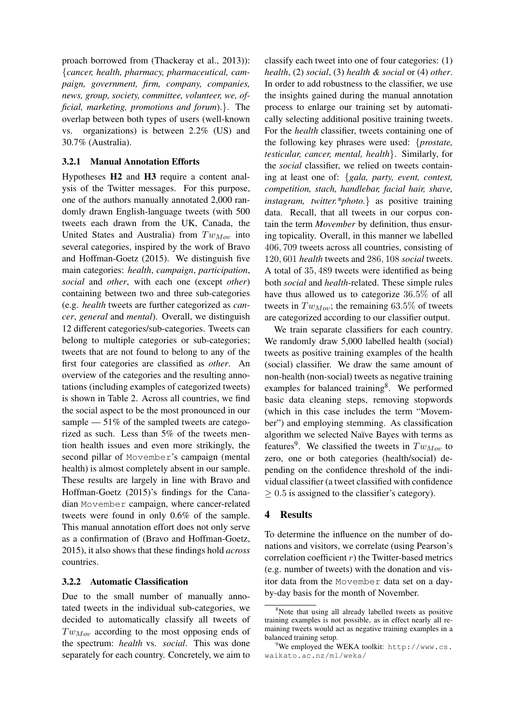proach borrowed from (Thackeray et al., 2013)): {*cancer, health, pharmacy, pharmaceutical, campaign, government, firm, company, companies, news, group, society, committee, volunteer, we, official, marketing, promotions and forum*).}. The overlap between both types of users (well-known vs. organizations) is between 2.2% (US) and 30.7% (Australia).

#### 3.2.1 Manual Annotation Efforts

Hypotheses H2 and H3 require a content analysis of the Twitter messages. For this purpose, one of the authors manually annotated 2,000 randomly drawn English-language tweets (with 500 tweets each drawn from the UK, Canada, the United States and Australia) from  $Tw_{Mov}$  into several categories, inspired by the work of Bravo and Hoffman-Goetz (2015). We distinguish five main categories: *health*, *campaign*, *participation*, *social* and *other*, with each one (except *other*) containing between two and three sub-categories (e.g. *health* tweets are further categorized as *cancer*, *general* and *mental*). Overall, we distinguish 12 different categories/sub-categories. Tweets can belong to multiple categories or sub-categories; tweets that are not found to belong to any of the first four categories are classified as *other*. An overview of the categories and the resulting annotations (including examples of categorized tweets) is shown in Table 2. Across all countries, we find the social aspect to be the most pronounced in our sample — 51% of the sampled tweets are categorized as such. Less than 5% of the tweets mention health issues and even more strikingly, the second pillar of Movember's campaign (mental health) is almost completely absent in our sample. These results are largely in line with Bravo and Hoffman-Goetz (2015)'s findings for the Canadian Movember campaign, where cancer-related tweets were found in only 0.6% of the sample. This manual annotation effort does not only serve as a confirmation of (Bravo and Hoffman-Goetz, 2015), it also shows that these findings hold *across* countries.

#### 3.2.2 Automatic Classification

Due to the small number of manually annotated tweets in the individual sub-categories, we decided to automatically classify all tweets of  $Tw_{Mov}$  according to the most opposing ends of the spectrum: *health* vs. *social*. This was done separately for each country. Concretely, we aim to

classify each tweet into one of four categories: (1) *health*, (2) *social*, (3) *health & social* or (4) *other*. In order to add robustness to the classifier, we use the insights gained during the manual annotation process to enlarge our training set by automatically selecting additional positive training tweets. For the *health* classifier, tweets containing one of the following key phrases were used: {*prostate, testicular, cancer, mental, health*}. Similarly, for the *social* classifier, we relied on tweets containing at least one of: {*gala, party, event, contest, competition, stach, handlebar, facial hair, shave, instagram, twitter.\*photo.*} as positive training data. Recall, that all tweets in our corpus contain the term *Movember* by definition, thus ensuring topicality. Overall, in this manner we labelled 406, 709 tweets across all countries, consisting of 120, 601 *health* tweets and 286, 108 *social* tweets. A total of 35, 489 tweets were identified as being both *social* and *health*-related. These simple rules have thus allowed us to categorize 36.5% of all tweets in  $Tw_{Mov}$ ; the remaining 63.5% of tweets are categorized according to our classifier output.

We train separate classifiers for each country. We randomly draw 5,000 labelled health (social) tweets as positive training examples of the health (social) classifier. We draw the same amount of non-health (non-social) tweets as negative training examples for balanced training<sup>8</sup>. We performed basic data cleaning steps, removing stopwords (which in this case includes the term "Movember") and employing stemming. As classification algorithm we selected Naïve Bayes with terms as features<sup>9</sup>. We classified the tweets in  $Tw_{Mov}$  to zero, one or both categories (health/social) depending on the confidence threshold of the individual classifier (a tweet classified with confidence  $\geq 0.5$  is assigned to the classifier's category).

# 4 Results

To determine the influence on the number of donations and visitors, we correlate (using Pearson's correlation coefficient  $r$ ) the Twitter-based metrics (e.g. number of tweets) with the donation and visitor data from the Movember data set on a dayby-day basis for the month of November.

<sup>&</sup>lt;sup>8</sup>Note that using all already labelled tweets as positive training examples is not possible, as in effect nearly all remaining tweets would act as negative training examples in a balanced training setup.

 $9$ We employed the WEKA toolkit: http://www.cs. waikato.ac.nz/ml/weka/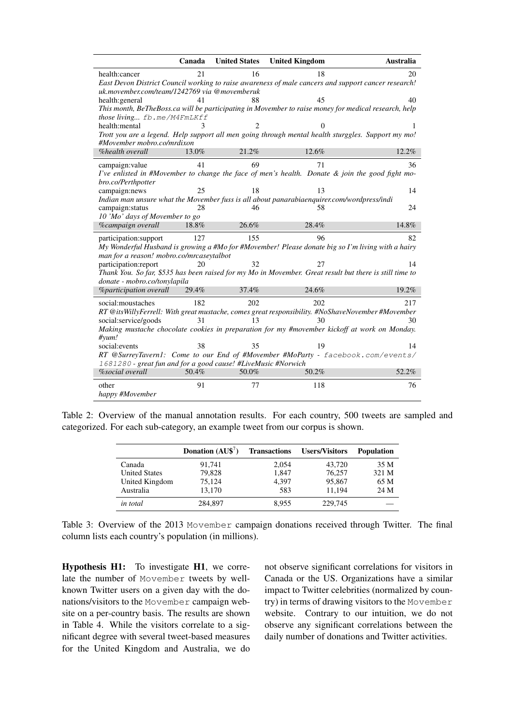|                                                                                                                                                  | Canada   | <b>United States</b> | <b>United Kingdom</b> | Australia                                                                                                  |  |  |
|--------------------------------------------------------------------------------------------------------------------------------------------------|----------|----------------------|-----------------------|------------------------------------------------------------------------------------------------------------|--|--|
| health:cancer                                                                                                                                    | 21       | 16                   | 18                    | 20                                                                                                         |  |  |
| East Devon District Council working to raise awareness of male cancers and support cancer research!                                              |          |                      |                       |                                                                                                            |  |  |
| uk.movember.com/team/1242769 via @movemberuk                                                                                                     |          |                      |                       |                                                                                                            |  |  |
| health: general                                                                                                                                  | 41       | 88                   | 45                    | 40<br>This month, BeTheBoss.ca will be participating in Movember to raise money for medical research, help |  |  |
| those living $fb$ .me/M4FmLKff                                                                                                                   |          |                      |                       |                                                                                                            |  |  |
| health:mental                                                                                                                                    |          |                      |                       |                                                                                                            |  |  |
|                                                                                                                                                  |          |                      |                       | Trott you are a legend. Help support all men going through mental health sturggles. Support my mo!         |  |  |
| #Movember mobro.co/mrdixon                                                                                                                       |          |                      |                       |                                                                                                            |  |  |
| %health overall                                                                                                                                  | $13.0\%$ | 21.2%                | 12.6%                 | 12.2%                                                                                                      |  |  |
| campaign: value                                                                                                                                  | 41       | 69                   | 71                    | 36                                                                                                         |  |  |
|                                                                                                                                                  |          |                      |                       | I've enlisted in #Movember to change the face of men's health. Donate & join the good fight mo-            |  |  |
| bro.co/Perthpotter<br>campaign:news                                                                                                              | 25       | 18                   | 13                    | 14                                                                                                         |  |  |
| Indian man unsure what the Movember fuss is all about panarabiaenquirer.com/wordpress/indi                                                       |          |                      |                       |                                                                                                            |  |  |
| campaign:status                                                                                                                                  | 28       | 46                   | 58                    | 24                                                                                                         |  |  |
| 10 'Mo' days of Movember to go                                                                                                                   |          |                      |                       |                                                                                                            |  |  |
| <b>%campaign</b> overall                                                                                                                         | 18.8%    | 26.6%                | 28.4%                 | 14.8%                                                                                                      |  |  |
| participation:support                                                                                                                            | 127      | 155                  | 96                    | 82                                                                                                         |  |  |
| My Wonderful Husband is growing a #Mo for #Movember! Please donate big so I'm living with a hairy                                                |          |                      |                       |                                                                                                            |  |  |
| man for a reason! mobro.co/mrcaseytalbot                                                                                                         |          |                      |                       |                                                                                                            |  |  |
| participation:report                                                                                                                             | 20       | 32                   | 27                    | 14                                                                                                         |  |  |
| donate - mobro.co/tonylapila                                                                                                                     |          |                      |                       | Thank You. So far, \$535 has been raised for my Mo in Movember. Great result but there is still time to    |  |  |
| <i>%participation overall</i>                                                                                                                    | 29.4%    | 37.4%                | 24.6%                 | 19.2%                                                                                                      |  |  |
| social: moustaches                                                                                                                               | 182      | 202                  | 202                   | 217                                                                                                        |  |  |
|                                                                                                                                                  |          |                      |                       | RT @itsWillyFerrell: With great mustache, comes great responsibility. #NoShaveNovember #Movember           |  |  |
| social:service/goods                                                                                                                             | 31       | 13                   | 30                    | 30                                                                                                         |  |  |
|                                                                                                                                                  |          |                      |                       | Making mustache chocolate cookies in preparation for my #movember kickoff at work on Monday.               |  |  |
| $#$ yum!                                                                                                                                         |          |                      |                       |                                                                                                            |  |  |
| social: events                                                                                                                                   | 38       | 35                   | 19                    | 14                                                                                                         |  |  |
| RT @SurreyTavern1: Come to our End of #Movember #MoParty - facebook.com/events/<br>1681280 - great fun and for a good cause! #LiveMusic #Norwich |          |                      |                       |                                                                                                            |  |  |
| <b>%social</b> overall                                                                                                                           | 50.4%    | 50.0%                | 50.2%                 | 52.2%                                                                                                      |  |  |
| other                                                                                                                                            | 91       | 77                   | 118                   | 76                                                                                                         |  |  |
| happy #Movember                                                                                                                                  |          |                      |                       |                                                                                                            |  |  |

Table 2: Overview of the manual annotation results. For each country, 500 tweets are sampled and categorized. For each sub-category, an example tweet from our corpus is shown.

|                      | Donation $(AU\$ ^7) | <b>Transactions</b> | <b>Users/Visitors</b> | <b>Population</b> |
|----------------------|---------------------|---------------------|-----------------------|-------------------|
| Canada               | 91,741              | 2,054               | 43,720                | 35 M              |
| <b>United States</b> | 79,828              | 1,847               | 76,257                | 321 M             |
| United Kingdom       | 75,124              | 4.397               | 95,867                | 65 M              |
| Australia            | 13.170              | 583                 | 11,194                | 24 M              |
| in total             | 284,897             | 8.955               | 229,745               |                   |

Table 3: Overview of the 2013 Movember campaign donations received through Twitter. The final column lists each country's population (in millions).

Hypothesis H1: To investigate H1, we correlate the number of Movember tweets by wellknown Twitter users on a given day with the donations/visitors to the Movember campaign website on a per-country basis. The results are shown in Table 4. While the visitors correlate to a significant degree with several tweet-based measures for the United Kingdom and Australia, we do not observe significant correlations for visitors in Canada or the US. Organizations have a similar impact to Twitter celebrities (normalized by country) in terms of drawing visitors to the Movember website. Contrary to our intuition, we do not observe any significant correlations between the daily number of donations and Twitter activities.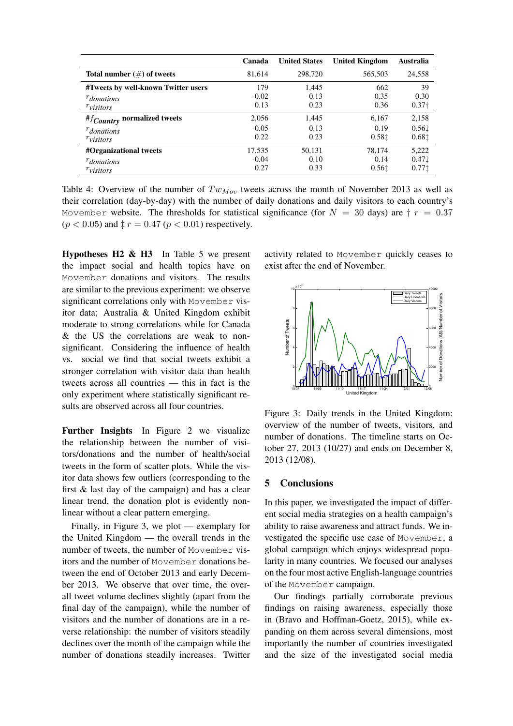|                                     | Canada  | <b>United States</b> | <b>United Kingdom</b> | Australia         |
|-------------------------------------|---------|----------------------|-----------------------|-------------------|
| Total number $(\#)$ of tweets       | 81.614  | 298,720              | 565,503               | 24,558            |
| #Tweets by well-known Twitter users | 179     | 1.445                | 662                   | 39                |
| $r_{\text{donations}}$              | $-0.02$ | 0.13                 | 0.35                  | 0.30              |
| $r_{\text{visitors}}$               | 0.13    | 0.23                 | 0.36                  | 0.37 <sub>†</sub> |
| $#f_{Country}$ normalized tweets    | 2,056   | 1.445                | 6.167                 | 2,158             |
| $r_{\text{donations}}$              | $-0.05$ | 0.13                 | 0.19                  | 0.561             |
| $r_{\text{visitors}}$               | 0.22    | 0.23                 | 0.581                 | 0.68‡             |
| #Organizational tweets              | 17,535  | 50.131               | 78.174                | 5,222             |
| $r_{\text{donations}}$              | $-0.04$ | 0.10                 | 0.14                  | 0.471             |
| $r_{\text{visitors}}$               | 0.27    | 0.33                 | 0.561                 | 0.771             |

Table 4: Overview of the number of  $Tw_{Mov}$  tweets across the month of November 2013 as well as their correlation (day-by-day) with the number of daily donations and daily visitors to each country's Movember website. The thresholds for statistical significance (for  $N = 30$  days) are  $\dagger r = 0.37$  $(p < 0.05)$  and  $\ddagger r = 0.47$   $(p < 0.01)$  respectively.

**Hypotheses H2 & H3** In Table 5 we present the impact social and health topics have on Movember donations and visitors. The results are similar to the previous experiment: we observe significant correlations only with Movember visitor data; Australia & United Kingdom exhibit moderate to strong correlations while for Canada & the US the correlations are weak to nonsignificant. Considering the influence of health vs. social we find that social tweets exhibit a stronger correlation with visitor data than health tweets across all countries — this in fact is the only experiment where statistically significant results are observed across all four countries.

Further Insights In Figure 2 we visualize the relationship between the number of visitors/donations and the number of health/social tweets in the form of scatter plots. While the visitor data shows few outliers (corresponding to the first & last day of the campaign) and has a clear linear trend, the donation plot is evidently nonlinear without a clear pattern emerging.

Finally, in Figure 3, we plot — exemplary for the United Kingdom — the overall trends in the number of tweets, the number of Movember visitors and the number of Movember donations between the end of October 2013 and early December 2013. We observe that over time, the overall tweet volume declines slightly (apart from the final day of the campaign), while the number of visitors and the number of donations are in a reverse relationship: the number of visitors steadily declines over the month of the campaign while the number of donations steadily increases. Twitter

activity related to Movember quickly ceases to exist after the end of November.



Figure 3: Daily trends in the United Kingdom: overview of the number of tweets, visitors, and number of donations. The timeline starts on October 27, 2013 (10/27) and ends on December 8, 2013 (12/08).

## 5 Conclusions

In this paper, we investigated the impact of different social media strategies on a health campaign's ability to raise awareness and attract funds. We investigated the specific use case of Movember, a global campaign which enjoys widespread popularity in many countries. We focused our analyses on the four most active English-language countries of the Movember campaign.

Our findings partially corroborate previous findings on raising awareness, especially those in (Bravo and Hoffman-Goetz, 2015), while expanding on them across several dimensions, most importantly the number of countries investigated and the size of the investigated social media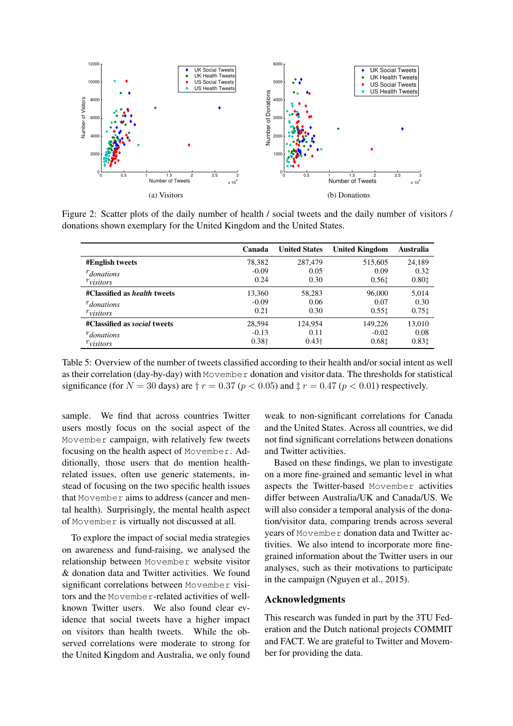

Figure 2: Scatter plots of the daily number of health / social tweets and the daily number of visitors / donations shown exemplary for the United Kingdom and the United States.

|                                     | Canada        | <b>United States</b> | <b>United Kingdom</b> | Australia |
|-------------------------------------|---------------|----------------------|-----------------------|-----------|
| <b>#English tweets</b>              | 78,382        | 287,479              | 515,605               | 24,189    |
| $r_{\text{donations}}$              | $-0.09$       | 0.05                 | 0.09                  | 0.32      |
| $r_{\text{visitors}}$               | 0.24          | 0.30                 | 0.561                 | 0.801     |
| #Classified as <i>health</i> tweets | 13,360        | 58,283               | 96,000                | 5.014     |
| $r_{\text{donations}}$              | $-0.09$       | 0.06                 | 0.07                  | 0.30      |
| $r_{\text{visitors}}$               | 0.21          | 0.30                 | 0.551                 | 0.751     |
| #Classified as <i>social</i> tweets | 28.594        | 124.954              | 149,226               | 13.010    |
| $r_{\text{donations}}$              | $-0.13$       | 0.11                 | $-0.02$               | 0.08      |
| $r_{\text{visitors}}$               | $0.38\dagger$ | $0.43\dagger$        | 0.681                 | 0.831     |

Table 5: Overview of the number of tweets classified according to their health and/or social intent as well as their correlation (day-by-day) with Movember donation and visitor data. The thresholds for statistical significance (for  $N = 30$  days) are  $\frac{1}{2}r = 0.37$  ( $p < 0.05$ ) and  $\frac{1}{2}r = 0.47$  ( $p < 0.01$ ) respectively.

sample. We find that across countries Twitter users mostly focus on the social aspect of the Movember campaign, with relatively few tweets focusing on the health aspect of Movember. Additionally, those users that do mention healthrelated issues, often use generic statements, instead of focusing on the two specific health issues that Movember aims to address (cancer and mental health). Surprisingly, the mental health aspect of Movember is virtually not discussed at all.

To explore the impact of social media strategies on awareness and fund-raising, we analysed the relationship between Movember website visitor & donation data and Twitter activities. We found significant correlations between Movember visitors and the Movember-related activities of wellknown Twitter users. We also found clear evidence that social tweets have a higher impact on visitors than health tweets. While the observed correlations were moderate to strong for the United Kingdom and Australia, we only found

weak to non-significant correlations for Canada and the United States. Across all countries, we did not find significant correlations between donations and Twitter activities.

Based on these findings, we plan to investigate on a more fine-grained and semantic level in what aspects the Twitter-based Movember activities differ between Australia/UK and Canada/US. We will also consider a temporal analysis of the donation/visitor data, comparing trends across several years of Movember donation data and Twitter activities. We also intend to incorporate more finegrained information about the Twitter users in our analyses, such as their motivations to participate in the campaign (Nguyen et al., 2015).

#### Acknowledgments

This research was funded in part by the 3TU Federation and the Dutch national projects COMMIT and FACT. We are grateful to Twitter and Movember for providing the data.